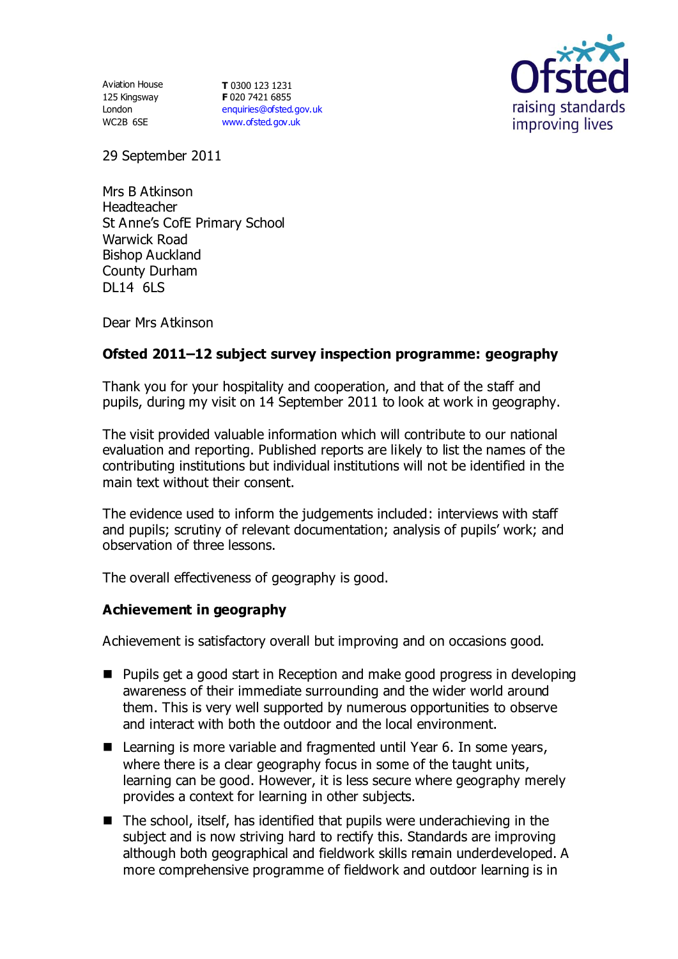125 Kingsway London WC2B 6SE

Aviation House **T** 0300 123 1231 **F** 020 7421 6855 [enquiries@ofsted.gov.uk](mailto:enquiries@ofsted.gov.uk) [www.ofsted.gov.uk](http://www.ofsted.gov.uk/)



29 September 2011

Mrs B Atkinson Headteacher St Anne's CofE Primary School Warwick Road Bishop Auckland County Durham DL14 6LS

Dear Mrs Atkinson

## **Ofsted 2011–12 subject survey inspection programme: geography**

Thank you for your hospitality and cooperation, and that of the staff and pupils, during my visit on 14 September 2011 to look at work in geography.

The visit provided valuable information which will contribute to our national evaluation and reporting. Published reports are likely to list the names of the contributing institutions but individual institutions will not be identified in the main text without their consent.

The evidence used to inform the judgements included: interviews with staff and pupils; scrutiny of relevant documentation; analysis of pupils' work; and observation of three lessons.

The overall effectiveness of geography is good.

## **Achievement in geography**

Achievement is satisfactory overall but improving and on occasions good.

- Pupils get a good start in Reception and make good progress in developing awareness of their immediate surrounding and the wider world around them. This is very well supported by numerous opportunities to observe and interact with both the outdoor and the local environment.
- Learning is more variable and fragmented until Year 6. In some years, where there is a clear geography focus in some of the taught units, learning can be good. However, it is less secure where geography merely provides a context for learning in other subjects.
- $\blacksquare$  The school, itself, has identified that pupils were underachieving in the subject and is now striving hard to rectify this. Standards are improving although both geographical and fieldwork skills remain underdeveloped. A more comprehensive programme of fieldwork and outdoor learning is in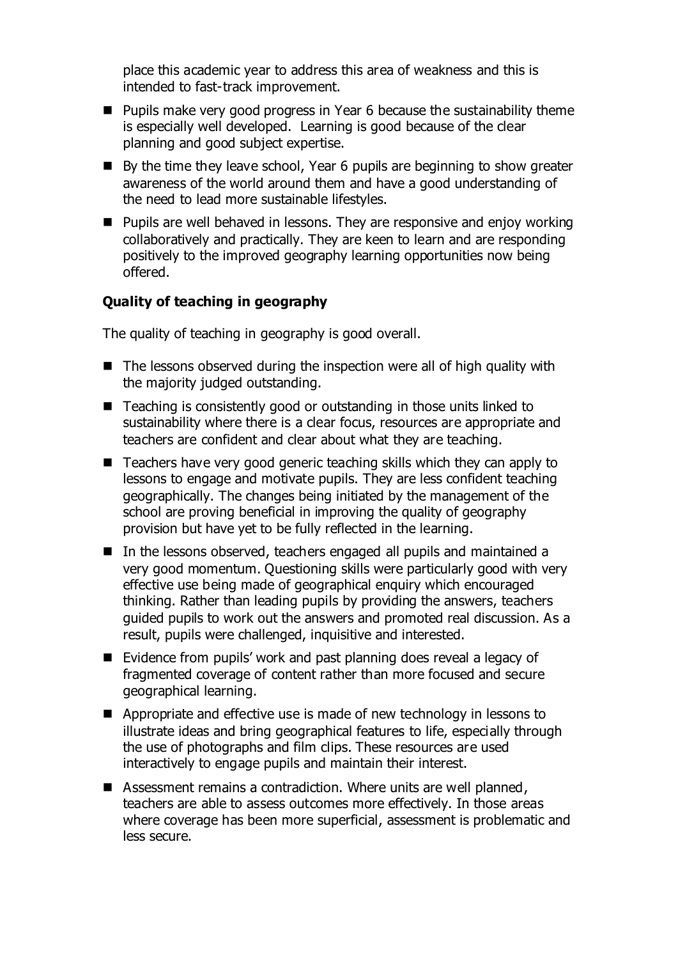place this academic year to address this area of weakness and this is intended to fast-track improvement.

- **Pupils make very good progress in Year 6 because the sustainability theme** is especially well developed. Learning is good because of the clear planning and good subject expertise.
- By the time they leave school, Year 6 pupils are beginning to show greater awareness of the world around them and have a good understanding of the need to lead more sustainable lifestyles.
- **Pupils are well behaved in lessons. They are responsive and enjoy working** collaboratively and practically. They are keen to learn and are responding positively to the improved geography learning opportunities now being offered.

## **Quality of teaching in geography**

The quality of teaching in geography is good overall.

- $\blacksquare$  The lessons observed during the inspection were all of high quality with the majority judged outstanding.
- Teaching is consistently good or outstanding in those units linked to sustainability where there is a clear focus, resources are appropriate and teachers are confident and clear about what they are teaching.
- $\blacksquare$  Teachers have very good generic teaching skills which they can apply to lessons to engage and motivate pupils. They are less confident teaching geographically. The changes being initiated by the management of the school are proving beneficial in improving the quality of geography provision but have yet to be fully reflected in the learning.
- In the lessons observed, teachers engaged all pupils and maintained a very good momentum. Questioning skills were particularly good with very effective use being made of geographical enquiry which encouraged thinking. Rather than leading pupils by providing the answers, teachers guided pupils to work out the answers and promoted real discussion. As a result, pupils were challenged, inquisitive and interested.
- Evidence from pupils' work and past planning does reveal a legacy of fragmented coverage of content rather than more focused and secure geographical learning.
- Appropriate and effective use is made of new technology in lessons to illustrate ideas and bring geographical features to life, especially through the use of photographs and film clips. These resources are used interactively to engage pupils and maintain their interest.
- Assessment remains a contradiction. Where units are well planned, teachers are able to assess outcomes more effectively. In those areas where coverage has been more superficial, assessment is problematic and less secure.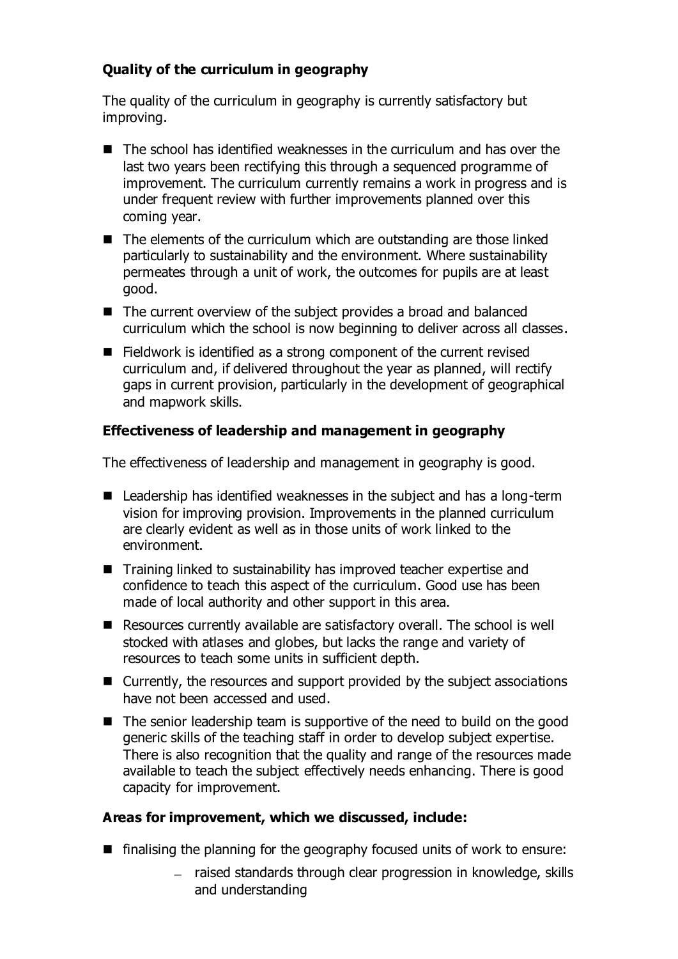# **Quality of the curriculum in geography**

The quality of the curriculum in geography is currently satisfactory but improving.

- The school has identified weaknesses in the curriculum and has over the last two years been rectifying this through a sequenced programme of improvement. The curriculum currently remains a work in progress and is under frequent review with further improvements planned over this coming year.
- The elements of the curriculum which are outstanding are those linked particularly to sustainability and the environment. Where sustainability permeates through a unit of work, the outcomes for pupils are at least good.
- The current overview of the subject provides a broad and balanced curriculum which the school is now beginning to deliver across all classes.
- Fieldwork is identified as a strong component of the current revised curriculum and, if delivered throughout the year as planned, will rectify gaps in current provision, particularly in the development of geographical and mapwork skills.

# **Effectiveness of leadership and management in geography**

The effectiveness of leadership and management in geography is good.

- Leadership has identified weaknesses in the subject and has a long-term vision for improving provision. Improvements in the planned curriculum are clearly evident as well as in those units of work linked to the environment.
- Training linked to sustainability has improved teacher expertise and confidence to teach this aspect of the curriculum. Good use has been made of local authority and other support in this area.
- Resources currently available are satisfactory overall. The school is well stocked with atlases and globes, but lacks the range and variety of resources to teach some units in sufficient depth.
- Currently, the resources and support provided by the subject associations have not been accessed and used.
- $\blacksquare$  The senior leadership team is supportive of the need to build on the good generic skills of the teaching staff in order to develop subject expertise. There is also recognition that the quality and range of the resources made available to teach the subject effectively needs enhancing. There is good capacity for improvement.

# **Areas for improvement, which we discussed, include:**

- $\blacksquare$  finalising the planning for the geography focused units of work to ensure:
	- raised standards through clear progression in knowledge, skills and understanding